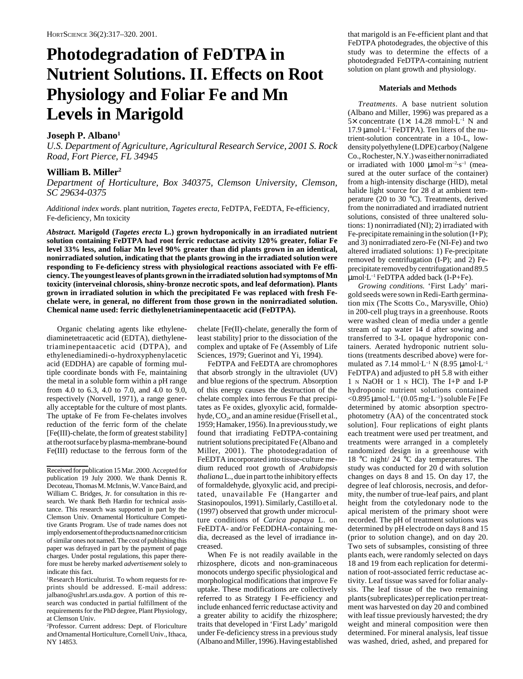# **Photodegradation of FeDTPA in Nutrient Solutions. II. Effects on Root Physiology and Foliar Fe and Mn Levels in Marigold**

# **Joseph P. Albano1**

*U.S. Department of Agriculture, Agricultural Research Service, 2001 S. Rock Road, Fort Pierce, FL 34945*

## **William B. Miller2**

*Department of Horticulture, Box 340375, Clemson University, Clemson, SC 29634-0375*

*Additional index words*. plant nutrition, *Tagetes erecta*, FeDTPA, FeEDTA, Fe-efficiency, Fe-deficiency, Mn toxicity

*Abstract***. Marigold (***Tagetes erecta* **L.) grown hydroponically in an irradiated nutrient solution containing FeDTPA had root ferric reductase activity 120% greater, foliar Fe level 33% less, and foliar Mn level 90% greater than did plants grown in an identical, nonirradiated solution, indicating that the plants growing in the irradiated solution were responding to Fe-deficiency stress with physiological reactions associated with Fe efficiency. The youngest leaves of plants grown in the irradiated solution had symptoms of Mn toxicity (interveinal chlorosis, shiny-bronze necrotic spots, and leaf deformation). Plants grown in irradiated solution in which the precipitated Fe was replaced with fresh Fechelate were, in general, no different from those grown in the nonirradiated solution. Chemical name used: ferric diethylenetriaminepentaacetic acid (FeDTPA).**

Organic chelating agents like ethylenediaminetetraacetic acid (EDTA), diethylenetriaminepentaacetic acid (DTPA), and ethylenediaminedi-o-hydroxyphenylacetic acid (EDDHA) are capable of forming multiple coordinate bonds with Fe, maintaining the metal in a soluble form within a pH range from 4.0 to 6.3, 4.0 to 7.0, and 4.0 to 9.0, respectively (Norvell, 1971), a range generally acceptable for the culture of most plants. The uptake of Fe from Fe-chelates involves reduction of the ferric form of the chelate [Fe(III)-chelate, the form of greatest stability] at the root surface by plasma-membrane-bound Fe(III) reductase to the ferrous form of the

1 Research Horticulturist. To whom requests for reprints should be addressed. E-mail address: jalbano@ushrl.ars.usda.gov. A portion of this research was conducted in partial fulfillment of the requirements for the PhD degree, Plant Physiology, at Clemson Univ.

2 Professor. Current address: Dept. of Floriculture and Ornamental Horticulture, Cornell Univ., Ithaca, NY 14853.

chelate [Fe(II)-chelate, generally the form of least stability] prior to the dissociation of the complex and uptake of Fe (Assembly of Life Sciences, 1979; Guerinot and Yi, 1994).

FeDTPA and FeEDTA are chromophores that absorb strongly in the ultraviolet (UV) and blue regions of the spectrum. Absorption of this energy causes the destruction of the chelate complex into ferrous Fe that precipitates as Fe oxides, glyoxylic acid, formaldehyde,  $CO<sub>2</sub>$ , and an amine residue (Frisell et al., 1959; Hamaker, 1956). In a previous study, we found that irradiating FeDTPA-containing nutrient solutions precipitated Fe (Albano and Miller, 2001). The photodegradation of FeEDTA incorporated into tissue-culture medium reduced root growth of *Arabidopsis thaliana* L., due in part to the inhibitory effects of formaldehyde, glyoxylic acid, and precipitated, unavailable Fe (Hangarter and Stasinopoulos, 1991). Similarly, Castillo et al. (1997) observed that growth under microculture conditions of *Carica papaya* L. on FeEDTA- and/or FeEDDHA-containing media, decreased as the level of irradiance increased.

When Fe is not readily available in the rhizosphere, dicots and non-graminaceous monocots undergo specific physiological and morphological modifications that improve Fe uptake. These modifications are collectively referred to as Strategy I Fe-efficiency and include enhanced ferric reductase activity and a greater ability to acidify the rhizosphere; traits that developed in 'First Lady' marigold under Fe-deficiency stress in a previous study (Albano and Miller, 1996). Having established

that marigold is an Fe-efficient plant and that FeDTPA photodegrades, the objective of this study was to determine the effects of a photodegraded FeDTPA-containing nutrient solution on plant growth and physiology.

## **Materials and Methods**

*Treatments*. A base nutrient solution (Albano and Miller, 1996) was prepared as a 5 $\times$  concentrate (1 $\times$ : 14.28 mmol·L<sup>-1</sup> N and 17.9 µmol·L–1 FeDTPA). Ten liters of the nutrient-solution concentrate in a 10-L, lowdensity polyethylene (LDPE) carboy (Nalgene Co., Rochester, N.Y.) was either nonirradiated or irradiated with 1000  $\mu$ mol·m<sup>-2</sup>·s<sup>-1</sup> (measured at the outer surface of the container) from a high-intensity discharge (HID), metal halide light source for 28 d at ambient temperature (20 to 30 °C). Treatments, derived from the nonirradiated and irradiated nutrient solutions, consisted of three unaltered solutions: 1) nonirradiated (NI); 2) irradiated with Fe-precipitate remaining in the solution (I+P); and 3) nonirradiated zero-Fe (NI-Fe) and two altered irradiated solutions: 1) Fe-precipitate removed by centrifugation (I-P); and 2) Feprecipitate removed by centrifugation and 89.5 µmol·L–1 FeDTPA added back (I-P+Fe).

*Growing conditions.* 'First Lady' marigold seeds were sown in Redi-Earth germination mix (The Scotts Co., Marysville, Ohio) in 200-cell plug trays in a greenhouse. Roots were washed clean of media under a gentle stream of tap water 14 d after sowing and transferred to 3-L opaque hydroponic containers. Aerated hydroponic nutrient solutions (treatments described above) were formulated as  $7.14 \text{ mmol·L}^{-1}$  N (8.95  $\mu$ mol·L<sup>-1</sup> FeDTPA) and adjusted to pH 5.8 with either 1 N NaOH or 1 N HCl). The I+P and I-P hydroponic nutrient solutions contained  $<$ 0.895 µmol·L<sup>-1</sup> (0.05 mg·L<sup>-1</sup>) soluble Fe [Fe determined by atomic absorption spectrophotometry (AA) of the concentrated stock solution]. Four replications of eight plants each treatment were used per treatment, and treatments were arranged in a completely randomized design in a greenhouse with 18 °C night/ 24 °C day temperatures. The study was conducted for 20 d with solution changes on days 8 and 15. On day 17, the degree of leaf chlorosis, necrosis, and deformity, the number of true-leaf pairs, and plant height from the cotyledonary node to the apical meristem of the primary shoot were recorded. The pH of treatment solutions was determined by pH electrode on days 8 and 15 (prior to solution change), and on day 20. Two sets of subsamples, consisting of three plants each, were randomly selected on days 18 and 19 from each replication for determination of root-associated ferric reductase activity. Leaf tissue was saved for foliar analysis. The leaf tissue of the two remaining plants (subreplicates) per replication per treatment was harvested on day 20 and combined with leaf tissue previously harvested; the dry weight and mineral composition were then determined. For mineral analysis, leaf tissue was washed, dried, ashed, and prepared for

Received for publication 15 Mar. 2000. Accepted for publication 19 July 2000. We thank Dennis R. Decoteau, Thomas M. McInnis, W. Vance Baird, and William C. Bridges, Jr. for consultation in this research. We thank Beth Hardin for technical assistance. This research was supported in part by the Clemson Univ. Ornamental Horticulture Competitive Grants Program. Use of trade names does not imply endorsement of the products named nor criticism of similar ones not named. The cost of publishing this paper was defrayed in part by the payment of page charges. Under postal regulations, this paper therefore must be hereby marked *advertisement* solely to indicate this fact.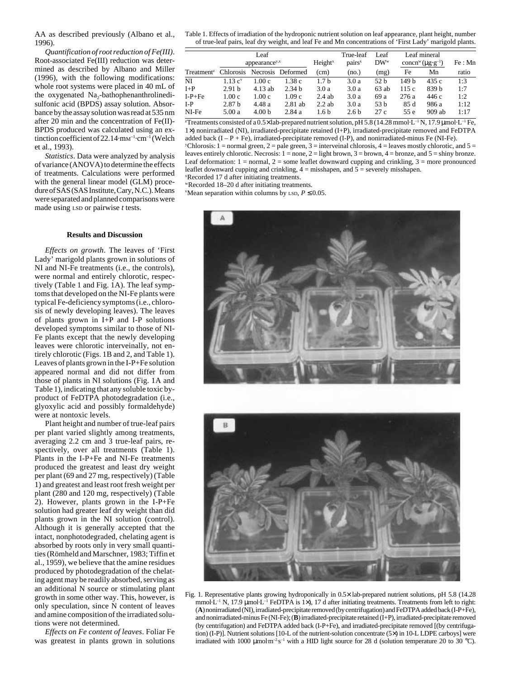AA as described previously (Albano et al., 1996).

*Quantification of root reduction of Fe(III)*. Root-associated Fe(III) reduction was determined as described by Albano and Miller (1996), with the following modifications: whole root systems were placed in 40 mL of the oxygenated Na<sub>2</sub>-bathophenanthrolinedisulfonic acid (BPDS) assay solution. Absorbance by the assay solution was read at 535 nm after 20 min and the concentration of Fe(II)- BPDS produced was calculated using an extinction coefficient of 22.14·mm<sup>-1</sup>·cm<sup>-1</sup> (Welch et al., 1993).

*Statistics*. Data were analyzed by analysis of variance (ANOVA) to determine the effects of treatments. Calculations were performed with the general linear model (GLM) procedure of SAS (SAS Institute, Cary, N.C.). Means were separated and planned comparisons were made using LSD or pairwise *t* tests.

### **Results and Discussion**

*Effects on growth*. The leaves of 'First Lady' marigold plants grown in solutions of NI and NI-Fe treatments (i.e., the controls), were normal and entirely chlorotic, respectively (Table 1 and Fig. 1A). The leaf symptoms that developed on the NI-Fe plants were typical Fe-deficiency symptoms (i.e., chlorosis of newly developing leaves). The leaves of plants grown in I+P and I-P solutions developed symptoms similar to those of NI-Fe plants except that the newly developing leaves were chlorotic interveinally, not entirely chlorotic (Figs. 1B and 2, and Table 1). Leaves of plants grown in the I-P+Fe solution appeared normal and did not differ from those of plants in NI solutions (Fig. 1A and Table 1), indicating that any soluble toxic byproduct of FeDTPA photodegradation (i.e., glyoxylic acid and possibly formaldehyde) were at nontoxic levels.

Plant height and number of true-leaf pairs per plant varied slightly among treatments, averaging 2.2 cm and 3 true-leaf pairs, respectively, over all treatments (Table 1). Plants in the I-P+Fe and NI-Fe treatments produced the greatest and least dry weight per plant (69 and 27 mg, respectively) (Table 1) and greatest and least root fresh weight per plant (280 and 120 mg, respectively) (Table 2). However, plants grown in the I-P+Fe solution had greater leaf dry weight than did plants grown in the NI solution (control). Although it is generally accepted that the intact, nonphotodegraded, chelating agent is absorbed by roots only in very small quantities (Römheld and Marschner, 1983; Tiffin et al., 1959), we believe that the amine residues produced by photodegradation of the chelating agent may be readily absorbed, serving as an additional N source or stimulating plant growth in some other way. This, however, is only speculation, since N content of leaves and amine composition of the irradiated solutions were not determined.

*Effects on Fe content of leaves*. Foliar Fe was greatest in plants grown in solutions Table 1. Effects of irradiation of the hydroponic nutrient solution on leaf appearance, plant height, number of true-leaf pairs, leaf dry weight, and leaf Fe and Mn concentrations of 'First Lady' marigold plants.

|                                                    | Leaf<br>appearance <sup>y,x</sup> |                   |           | Height <sup>x</sup> | True-leaf<br>pairs <sup>x</sup> | Leaf<br>$DW^w$  | Leaf mineral<br>concn <sup>w</sup> ( $\mu$ g·g <sup>-1</sup> ) |        | Fe : Mn |
|----------------------------------------------------|-----------------------------------|-------------------|-----------|---------------------|---------------------------------|-----------------|----------------------------------------------------------------|--------|---------|
| Treatment <sup>z</sup> Chlorosis Necrosis Deformed |                                   |                   |           | (cm)                | (no.)                           | (mg)            | Fe                                                             | Mn     | ratio   |
| NI                                                 | $1.13 \text{ c}^v$                | 1.00c             | 1.38c     | 1.7 <sub>b</sub>    | 3.0a                            | 52 <sub>h</sub> | 149 h                                                          | 435c   | 1:3     |
| $I+P$                                              | 2.91 <sub>b</sub>                 | $4.13$ ab         | 2.34h     | 3.0a                | 3.0a                            | $63$ ab         | 115 c                                                          | 839 h  | 1:7     |
| $I-P+Fe$                                           | 1.00c                             | 1.00c             | 1.09c     | 2.4ab               | 3.0a                            | 69 a            | 276a                                                           | 446 c  | 1:2     |
| $I-P$                                              | 2.87 <sub>b</sub>                 | 4.48 a            | $2.81$ ab | $2.2$ ab            | 3.0a                            | 53 b            | 85 d                                                           | 986 a  | 1:12    |
| NI-Fe                                              | 5.00a                             | 4.00 <sub>b</sub> | 2.84 a    | 1.6 b               | 2.6 <sub>b</sub>                | 27c             | 55 e                                                           | 909 ab | 1:17    |

<sup>2</sup>Treatments consisted of a 0.5× lab-prepared nutrient solution, pH 5.8 (14.28 mmol·L<sup>-1</sup> N, 17.9 µmol·L<sup>-1</sup> Fe, 1×) nonirradiated (NI), irradiated-precipitate retained (I+P), irradiated-precipitate removed and FeDTPA added back  $(I - P + Fe)$ , irradiated-precipitate removed  $(I-P)$ , and nonirradiated-minus Fe (NI-Fe).  $y^y$ Chlorosis: 1 = normal green, 2 = pale green, 3 = interveinal chlorosis, 4 = leaves mostly chlorotic, and 5 = leaves entirely chlorotic. Necrosis:  $1 =$  none,  $2 =$  light brown,  $3 =$  brown,  $4 =$  bronze, and  $5 =$  shiny bronze. Leaf deformation:  $1 = normal$ ,  $2 = some$  leaflet downward cupping and crinkling,  $3 = more$  pronounced leaflet downward cupping and crinkling,  $4 =$  misshapen, and  $5 =$  severely misshapen. x Recorded 17 d after initiating treatments.

wRecorded 18–20 d after initiating treatments.

Mean separation within columns by  $LSD$ ,  $P \leq 0.05$ .





Fig. 1. Representative plants growing hydroponically in 0.5× lab-prepared nutrient solutions, pH 5.8 (14.28 mmol·L<sup>-1</sup> N, 17.9  $\mu$ mol·L<sup>-1</sup> FeDTPA is 1×), 17 d after initiating treatments. Treatments from left to right: (**A**) nonirradiated (NI), irradiated-precipitate removed (by centrifugation) and FeDTPA added back (I-P+Fe), and nonirradiated-minus Fe (NI-Fe); (**B**) irradiated-precipitate retained (I+P), irradiated-precipitate removed (by centrifugation) and FeDTPA added back (I-P+Fe), and irradiated-precipitate removed [(by centrifugation) (I-P)]. Nutrient solutions [10-L of the nutrient-solution concentrate (5×) in 10-L LDPE carboys] were irradiated with 1000  $\mu$ mol $m^2s^{-1}$  with a HID light source for 28 d (solution temperature 20 to 30 °C).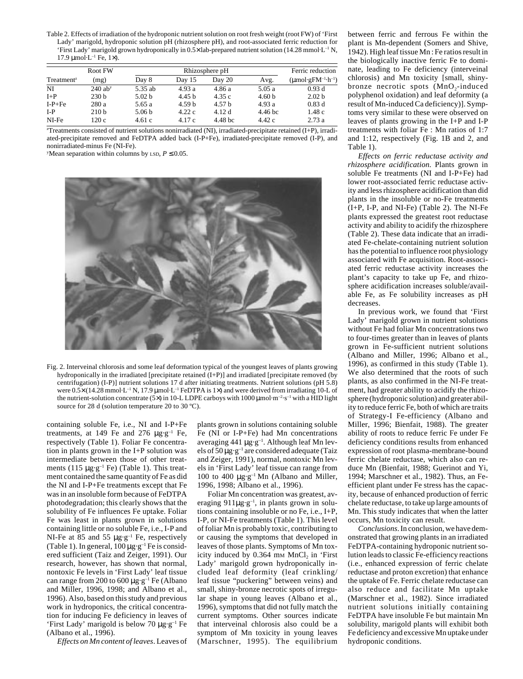Table 2. Effects of irradiation of the hydroponic nutrient solution on root fresh weight (root FW) of 'First Lady' marigold, hydroponic solution pH (rhizosphere pH), and root-associated ferric reduction for 'First Lady' marigold grown hydroponically in  $0.5\times$  lab-prepared nutrient solution (14.28 mmol·L<sup>-1</sup> N, 17.9  $\mu$ mol·L<sup>-1</sup> Fe, 1×).

|                        | Root FW               |                   | Ferric reduction  |                   |                    |                                     |
|------------------------|-----------------------|-------------------|-------------------|-------------------|--------------------|-------------------------------------|
| Treatment <sup>z</sup> | (mg)                  | Day 8             | Day 15            | Day 20            | Avg.               | $(\mu$ mol·g $FM^{-1}\cdot h^{-1})$ |
| NI                     | $240$ ab <sup>y</sup> | 5.35 ab           | 4.93a             | 4.86 a            | 5.05a              | 0.93d                               |
| $I+P$                  | 230 <sub>b</sub>      | 5.02 <sub>b</sub> | 4.45 <sub>b</sub> | 4.35c             | 4.60 <sub>b</sub>  | 2.02 <sub>b</sub>                   |
| $I-P+Fe$               | 280 a                 | 5.65 a            | 4.59 <sub>b</sub> | 4.57 <sub>b</sub> | 4.93a              | 0.83d                               |
| $I-P$                  | 210 <sub>b</sub>      | 5.06 <sub>b</sub> | 4.22c             | 4.12 d            | 4.46 <sub>bc</sub> | 1.48c                               |
| NI-Fe                  | 120c                  | 4.61c             | 4.17 c            | 4.48 bc           | 4.42c              | 2.73a                               |

z Treatments consisted of nutrient solutions nonirradiated (NI), irradiated-precipitate retained (I+P), irradiated-precipitate removed and FeDTPA added back (I-P+Fe), irradiated-precipitate removed (I-P), and nonirradiated-minus Fe (NI-Fe).

Mean separation within columns by  $\text{LSD}, P \leq 0.05$ .



Fig. 2. Interveinal chlorosis and some leaf deformation typical of the youngest leaves of plants growing hydroponically in the irradiated [precipitate retained (I+P)] and irradiated [precipitate removed (by centrifugation) (I-P)] nutrient solutions 17 d after initiating treatments. Nutrient solutions (pH 5.8) were 0.5× (14.28 mmol·L<sup>-1</sup> N, 17.9 µmol·L<sup>-1</sup> FeDTPA is 1×) and were derived from irradiating 10-L of the nutrient-solution concentrate (5 $\times$ ) in 10-L LDPE carboys with 1000  $\mu$ mol·m<sup>-2</sup>·s<sup>-1</sup> with a HID light source for 28 d (solution temperature 20 to 30 °C).

containing soluble Fe, i.e., NI and I-P+Fe treatments, at 149 Fe and 276  $\mu$ g·g<sup>-1</sup> Fe, respectively (Table 1). Foliar Fe concentration in plants grown in the I+P solution was intermediate between those of other treatments (115  $\mu$ g·g<sup>-1</sup> Fe) (Table 1). This treatment contained the same quantity of Fe as did the NI and I-P+Fe treatments except that Fe was in an insoluble form because of FeDTPA photodegradation; this clearly shows that the solubility of Fe influences Fe uptake. Foliar Fe was least in plants grown in solutions containing little or no soluble Fe, i.e., I-P and NI-Fe at 85 and 55  $\mu$ g·g<sup>-1</sup> Fe, respectively (Table 1). In general,  $100 \mu g \cdot g^{-1}$  Fe is considered sufficient (Taiz and Zeiger, 1991). Our research, however, has shown that normal, nontoxic Fe levels in 'First Lady' leaf tissue can range from 200 to 600  $\mu$ g·g<sup>-1</sup> Fe (Albano and Miller, 1996, 1998; and Albano et al., 1996). Also, based on this study and previous work in hydroponics, the critical concentration for inducing Fe deficiency in leaves of 'First Lady' marigold is below 70 µg·g–1 Fe (Albano et al., 1996).

*Effects on Mn content of leaves*. Leaves of

plants grown in solutions containing soluble Fe (NI or I-P+Fe) had Mn concentrations averaging 441 µg·g<sup>-1</sup>. Although leaf Mn levels of  $50 \mu g \cdot g^{-1}$  are considered adequate (Taiz and Zeiger, 1991), normal, nontoxic Mn levels in 'First Lady' leaf tissue can range from 100 to 400  $\mu$ g·g<sup>-1</sup> Mn (Albano and Miller, 1996, 1998; Albano et al., 1996).

Foliar Mn concentration was greatest, averaging  $911\mu g \cdot g^{-1}$ , in plants grown in solutions containing insoluble or no Fe, i.e., I+P, I-P, or NI-Fe treatments (Table 1). This level of foliar Mn is probably toxic, contributing to or causing the symptoms that developed in leaves of those plants. Symptoms of Mn toxicity induced by 0.364 mm MnCl, in 'First Lady' marigold grown hydroponically included leaf deformity (leaf crinkling/ leaf tissue "puckering" between veins) and small, shiny-bronze necrotic spots of irregular shape in young leaves (Albano et al., 1996), symptoms that did not fully match the current symptoms. Other sources indicate that interveinal chlorosis also could be a symptom of Mn toxicity in young leaves (Marschner, 1995). The equilibrium between ferric and ferrous Fe within the plant is Mn-dependent (Somers and Shive, 1942). High leaf tissue Mn : Fe ratios result in the biologically inactive ferric Fe to dominate, leading to Fe deficiency (interveinal chlorosis) and Mn toxicity [small, shinybronze necrotic spots  $(MnO<sub>2</sub>-induced)$ polyphenol oxidation) and leaf deformity (a result of Mn-induced Ca deficiency)]. Symptoms very similar to these were observed on leaves of plants growing in the I+P and I-P treatments with foliar Fe : Mn ratios of 1:7 and 1:12, respectively (Fig. 1B and 2, and Table 1).

*Effects on ferric reductase activity and rhizosphere acidification*. Plants grown in soluble Fe treatments (NI and I-P+Fe) had lower root-associated ferric reductase activity and less rhizosphere acidification than did plants in the insoluble or no-Fe treatments (I+P, I-P, and NI-Fe) (Table 2). The NI-Fe plants expressed the greatest root reductase activity and ability to acidify the rhizosphere (Table 2). These data indicate that an irradiated Fe-chelate-containing nutrient solution has the potential to influence root physiology associated with Fe acquisition. Root-associated ferric reductase activity increases the plant's capacity to take up Fe, and rhizosphere acidification increases soluble/available Fe, as Fe solubility increases as pH decreases.

In previous work, we found that 'First Lady' marigold grown in nutrient solutions without Fe had foliar Mn concentrations two to four-times greater than in leaves of plants grown in Fe-sufficient nutrient solutions (Albano and Miller, 1996; Albano et al., 1996), as confirmed in this study (Table 1). We also determined that the roots of such plants, as also confirmed in the NI-Fe treatment, had greater ability to acidify the rhizosphere (hydroponic solution) and greater ability to reduce ferric Fe, both of which are traits of Strategy-I Fe-efficiency (Albano and Miller, 1996; Bienfait, 1988). The greater ability of roots to reduce ferric Fe under Fe deficiency conditions results from enhanced expression of root plasma-membrane-bound ferric chelate reductase, which also can reduce Mn (Bienfait, 1988; Guerinot and Yi, 1994; Marschner et al., 1982). Thus, an Feefficient plant under Fe stress has the capacity, because of enhanced production of ferric chelate reductase, to take up large amounts of Mn. This study indicates that when the latter occurs, Mn toxicity can result.

*Conclusions*. In conclusion, we have demonstrated that growing plants in an irradiated FeDTPA-containing hydroponic nutrient solution leads to classic Fe-efficiency reactions (i.e., enhanced expression of ferric chelate reductase and proton excretion) that enhance the uptake of Fe. Ferric chelate reductase can also reduce and facilitate Mn uptake (Marschner et al., 1982). Since irradiated nutrient solutions initially containing FeDTPA have insoluble Fe but maintain Mn solubility, marigold plants will exhibit both Fe deficiency and excessive Mn uptake under hydroponic conditions.